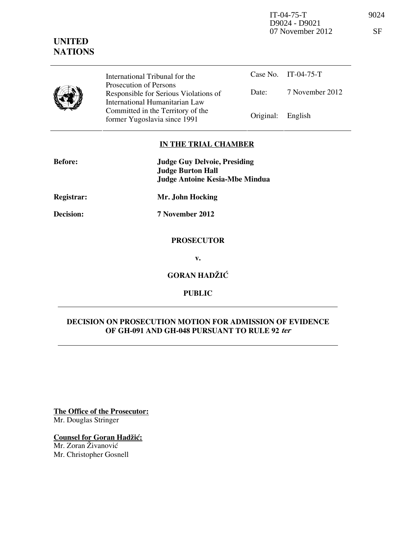IT-04-75-T 9024 D9024 - D9021 07 November 2012

# **UNITED NATIONS**

|                     | ٠ |
|---------------------|---|
| ×<br>۰.<br>. .<br>v |   |

|  | Ш              |
|--|----------------|
|  | P <sub>I</sub> |
|  | R              |
|  | In             |
|  |                |
|  |                |

International Tribunal for the rosecution of Persons esponsible for Serious Violations of International Humanitarian Law ommitted in the Territory of the Former Yugoslavia since 1991 **Original:** English

Case No. IT-04-75-T Date: 7 November 2012

### **IN THE TRIAL CHAMBER**

| <b>Before:</b> | <b>Judge Guy Delvoie, Presiding</b><br><b>Judge Burton Hall</b><br><b>Judge Antoine Kesia-Mbe Mindua</b> |
|----------------|----------------------------------------------------------------------------------------------------------|
| Registrar:     | Mr. John Hocking                                                                                         |
| Decision:      | 7 November 2012                                                                                          |
|                | <b>PROSECUTOR</b>                                                                                        |
|                | v.                                                                                                       |
|                | <b>GORAN HADŽIĆ</b>                                                                                      |

**PUBLIC** 

## **DECISION ON PROSECUTION MOTION FOR ADMISSION OF EVIDENCE OF GH-091 AND GH-048 PURSUANT TO RULE 92 ter**

**The Office of the Prosecutor:** Mr. Douglas Stringer

**Counsel for Goran Hadžić:** 

Mr. Zoran Živanović Mr. Christopher Gosnell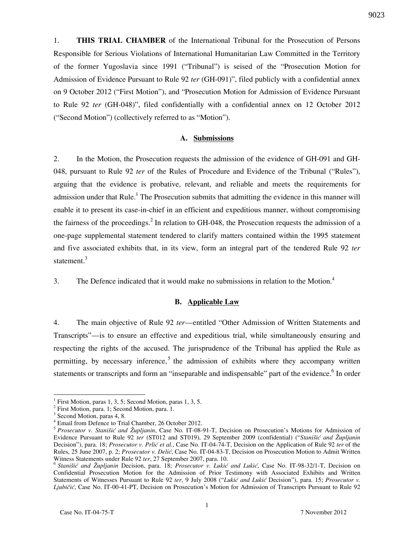1. **THIS TRIAL CHAMBER** of the International Tribunal for the Prosecution of Persons Responsible for Serious Violations of International Humanitarian Law Committed in the Territory of the former Yugoslavia since 1991 ("Tribunal") is seised of the "Prosecution Motion for Admission of Evidence Pursuant to Rule 92 *ter* (GH-091)", filed publicly with a confidential annex on 9 October 2012 ("First Motion"), and "Prosecution Motion for Admission of Evidence Pursuant to Rule 92 *ter* (GH-048)", filed confidentially with a confidential annex on 12 October 2012 ("Second Motion") (collectively referred to as "Motion").

#### **A. Submissions**

2. In the Motion, the Prosecution requests the admission of the evidence of GH-091 and GH-048, pursuant to Rule 92 *ter* of the Rules of Procedure and Evidence of the Tribunal ("Rules"), arguing that the evidence is probative, relevant, and reliable and meets the requirements for admission under that Rule.<sup>1</sup> The Prosecution submits that admitting the evidence in this manner will enable it to present its case-in-chief in an efficient and expeditious manner, without compromising the fairness of the proceedings.<sup>2</sup> In relation to GH-048, the Prosecution requests the admission of a one-page supplemental statement tendered to clarify matters contained within the 1995 statement and five associated exhibits that, in its view, form an integral part of the tendered Rule 92 *ter* statement.<sup>3</sup>

3. The Defence indicated that it would make no submissions in relation to the Motion. $4$ 

#### **B. Applicable Law**

4. The main objective of Rule 92 *ter*—entitled "Other Admission of Written Statements and Transcripts"—is to ensure an effective and expeditious trial, while simultaneously ensuring and respecting the rights of the accused. The jurisprudence of the Tribunal has applied the Rule as permitting, by necessary inference,<sup>5</sup> the admission of exhibits where they accompany written statements or transcripts and form an "inseparable and indispensable" part of the evidence.<sup>6</sup> In order

<sup>&</sup>lt;sup>1</sup> First Motion, paras 1, 3, 5; Second Motion, paras 1, 3, 5.

<sup>&</sup>lt;sup>2</sup> First Motion, para. 1; Second Motion, para. 1.

<sup>&</sup>lt;sup>3</sup> Second Motion, paras 4, 8.

<sup>4</sup> Email from Defence to Trial Chamber, 26 October 2012.

<sup>5</sup> *Prosecutor v. Stanišić and Župljanin*, Case No. IT-08-91-T, Decision on Prosecution's Motions for Admission of Evidence Pursuant to Rule 92 *ter* (ST012 and ST019), 29 September 2009 (confidential) ("*Stanišić and Župljanin* Decision"), para. 18; *Prosecutor v. Prlić et al.*, Case No. IT-04-74-T, Decision on the Application of Rule 92 *ter* of the Rules, 25 June 2007, p. 2; *Prosecutor v. Delić*, Case No. IT-04-83-T, Decision on Prosecution Motion to Admit Written Witness Statements under Rule 92 *ter*, 27 September 2007, para. 10.

<sup>&</sup>lt;sup>6</sup> Stanišić and Župljanin Decision, para. 18; *Prosecutor v. Lukić and Lukić*, Case No. IT-98-32/1-T, Decision on Confidential Prosecution Motion for the Admission of Prior Testimony with Associated Exhibits and Written Statements of Witnesses Pursuant to Rule 92 ter, 9 July 2008 ("Lukić and Lukić Decision"), para. 15; *Prosecutor v. Ljubičić*, Case No. IT-00-41-PT, Decision on Prosecution's Motion for Admission of Transcripts Pursuant to Rule 92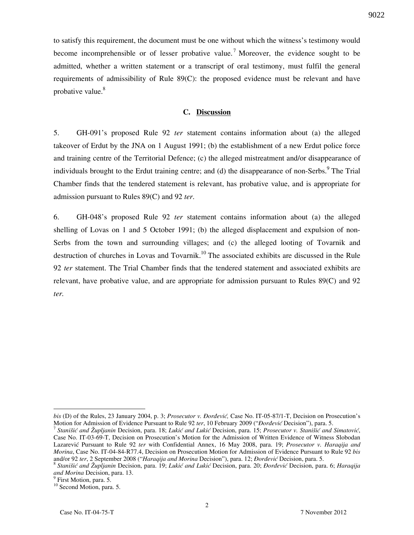to satisfy this requirement, the document must be one without which the witness's testimony would become incomprehensible or of lesser probative value.<sup>7</sup> Moreover, the evidence sought to be admitted, whether a written statement or a transcript of oral testimony, must fulfil the general requirements of admissibility of Rule 89(C): the proposed evidence must be relevant and have probative value.<sup>8</sup>

### **C. Discussion**

5. GH-091's proposed Rule 92 *ter* statement contains information about (a) the alleged takeover of Erdut by the JNA on 1 August 1991; (b) the establishment of a new Erdut police force and training centre of the Territorial Defence; (c) the alleged mistreatment and/or disappearance of individuals brought to the Erdut training centre; and (d) the disappearance of non-Serbs.<sup>9</sup> The Trial Chamber finds that the tendered statement is relevant, has probative value, and is appropriate for admission pursuant to Rules 89(C) and 92 *ter*.

6. GH-048's proposed Rule 92 *ter* statement contains information about (a) the alleged shelling of Lovas on 1 and 5 October 1991; (b) the alleged displacement and expulsion of non-Serbs from the town and surrounding villages; and (c) the alleged looting of Tovarnik and destruction of churches in Lovas and Tovarnik.<sup>10</sup> The associated exhibits are discussed in the Rule 92 *ter* statement. The Trial Chamber finds that the tendered statement and associated exhibits are relevant, have probative value, and are appropriate for admission pursuant to Rules 89(C) and 92 *ter.* 

 $\overline{a}$ 

*bis* (D) of the Rules, 23 January 2004, p. 3; *Prosecutor v. Đorđević*, Case No. IT-05-87/1-T, Decision on Prosecution's Motion for Admission of Evidence Pursuant to Rule 92 *ter*, 10 February 2009 ("*Dordević* Decision"), para. 5.

<sup>&</sup>lt;sup>7</sup> Stanišić and Župljanin Decision, para. 18; Lukić and Lukić Decision, para. 15; Prosecutor v. Stanišić and Simatović, Case No. IT-03-69-T, Decision on Prosecution's Motion for the Admission of Written Evidence of Witness Slobodan Lazarevi} Pursuant to Rule 92 *ter* with Confidential Annex, 16 May 2008, para. 19; *Prosecutor v. Haraqija and Morina*, Case No. IT-04-84-R77.4, Decision on Prosecution Motion for Admission of Evidence Pursuant to Rule 92 *bis* and/or 92 ter, 2 September 2008 ("Haraqija and Morina Decision"), para. 12; *Đorđević* Decision, para. 5.

<sup>&</sup>lt;sup>8</sup> Stanišić and Župljanin Decision, para. 19; *Lukić and Lukić* Decision, para. 20; *Đorđević* Decision, para. 6; *Haraqija and Morina* Decision, para. 13.

<sup>&</sup>lt;sup>9</sup> First Motion, para. 5.

<sup>&</sup>lt;sup>10</sup> Second Motion, para. 5.